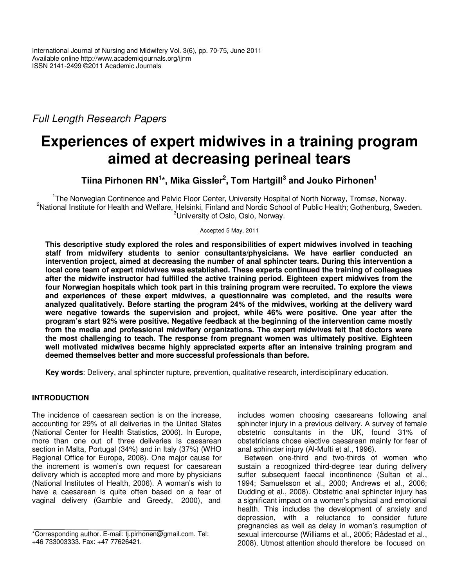# *Full Length Research Papers*

# **Experiences of expert midwives in a training program aimed at decreasing perineal tears**

**Tiina Pirhonen RN<sup>1</sup> \*, Mika Gissler<sup>2</sup> , Tom Hartgill<sup>3</sup> and Jouko Pirhonen<sup>1</sup>**

<sup>1</sup>The Norwegian Continence and Pelvic Floor Center, University Hospital of North Norway, Tromsø, Norway. <sup>2</sup>National Institute for Health and Welfare, Helsinki, Finland and Nordic School of Public Health; Gothenburg, Sweden. <sup>3</sup>University of Oslo, Oslo, Norway.

Accepted 5 May, 2011

**This descriptive study explored the roles and responsibilities of expert midwives involved in teaching staff from midwifery students to senior consultants/physicians. We have earlier conducted an intervention project, aimed at decreasing the number of anal sphincter tears. During this intervention a local core team of expert midwives was established. These experts continued the training of colleagues after the midwife instructor had fulfilled the active training period. Eighteen expert midwives from the four Norwegian hospitals which took part in this training program were recruited. To explore the views and experiences of these expert midwives, a questionnaire was completed, and the results were analyzed qualitatively. Before starting the program 24% of the midwives, working at the delivery ward were negative towards the supervision and project, while 46% were positive. One year after the program's start 92% were positive. Negative feedback at the beginning of the intervention came mostly from the media and professional midwifery organizations. The expert midwives felt that doctors were the most challenging to teach. The response from pregnant women was ultimately positive. Eighteen well motivated midwives became highly appreciated experts after an intensive training program and deemed themselves better and more successful professionals than before.** 

**Key words**: Delivery, anal sphincter rupture, prevention, qualitative research, interdisciplinary education.

# **INTRODUCTION**

The incidence of caesarean section is on the increase, accounting for 29% of all deliveries in the United States (National Center for Health Statistics, 2006). In Europe, more than one out of three deliveries is caesarean section in Malta, Portugal (34%) and in Italy (37%) (WHO Regional Office for Europe, 2008). One major cause for the increment is women's own request for caesarean delivery which is accepted more and more by physicians (National Institutes of Health, 2006). A woman's wish to have a caesarean is quite often based on a fear of vaginal delivery (Gamble and Greedy, 2000), and

includes women choosing caesareans following anal sphincter injury in a previous delivery. A survey of female obstetric consultants in the UK, found 31% of obstetricians chose elective caesarean mainly for fear of anal sphincter injury (Al-Mufti et al., 1996).

Between one-third and two-thirds of women who sustain a recognized third-degree tear during delivery suffer subsequent faecal incontinence (Sultan et al., 1994; Samuelsson et al., 2000; Andrews et al., 2006; Dudding et al., 2008). Obstetric anal sphincter injury has a significant impact on a women's physical and emotional health. This includes the development of anxiety and depression, with a reluctance to consider future pregnancies as well as delay in woman's resumption of sexual intercourse (Williams et al., 2005; Rådestad et al., 2008). Utmost attention should therefore be focused on

<sup>\*</sup>Corresponding author. E-mail: tj.pirhonen@gmail.com. Tel: +46 733003333. Fax: +47 77626421.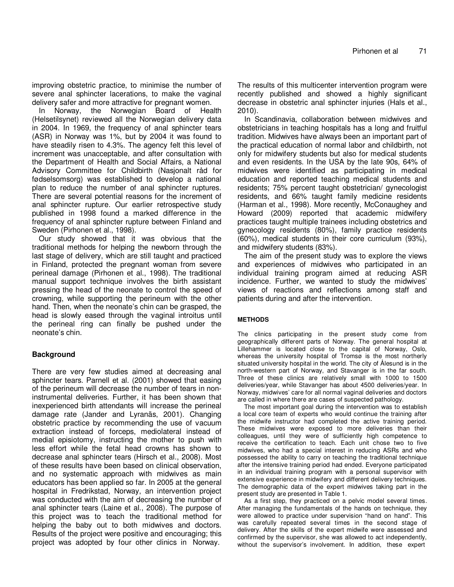improving obstetric practice, to minimise the number of severe anal sphincter lacerations, to make the vaginal delivery safer and more attractive for pregnant women.

In Norway, the Norwegian Board of Health (Helsetilsynet) reviewed all the Norwegian delivery data in 2004. In 1969, the frequency of anal sphincter tears (ASR) in Norway was 1%, but by 2004 it was found to have steadily risen to 4.3%. The agency felt this level of increment was unacceptable, and after consultation with the Department of Health and Social Affairs, a National Advisory Committee for Childbirth (Nasjonalt råd for fødselsomsorg) was established to develop a national plan to reduce the number of anal sphincter ruptures. There are several potential reasons for the increment of anal sphincter rupture. Our earlier retrospective study published in 1998 found a marked difference in the frequency of anal sphincter rupture between Finland and Sweden (Pirhonen et al., 1998).

Our study showed that it was obvious that the traditional methods for helping the newborn through the last stage of delivery, which are still taught and practiced in Finland, protected the pregnant woman from severe perineal damage (Pirhonen et al., 1998). The traditional manual support technique involves the birth assistant pressing the head of the neonate to control the speed of crowning, while supporting the perineum with the other hand. Then, when the neonate's chin can be grasped, the head is slowly eased through the vaginal introitus until the perineal ring can finally be pushed under the neonate's chin.

# **Background**

There are very few studies aimed at decreasing anal sphincter tears. Parnell et al. (2001) showed that easing of the perineum will decrease the number of tears in noninstrumental deliveries. Further, it has been shown that inexperienced birth attendants will increase the perineal damage rate (Jander and Lyranäs, 2001). Changing obstetric practice by recommending the use of vacuum extraction instead of forceps, mediolateral instead of medial episiotomy, instructing the mother to push with less effort while the fetal head crowns has shown to decrease anal sphincter tears (Hirsch et al., 2008). Most of these results have been based on clinical observation, and no systematic approach with midwives as main educators has been applied so far. In 2005 at the general hospital in Fredrikstad, Norway, an intervention project was conducted with the aim of decreasing the number of anal sphincter tears (Laine et al., 2008). The purpose of this project was to teach the traditional method for helping the baby out to both midwives and doctors. Results of the project were positive and encouraging; this project was adopted by four other clinics in Norway.

The results of this multicenter intervention program were recently published and showed a highly significant decrease in obstetric anal sphincter injuries (Hals et al., 2010).

In Scandinavia, collaboration between midwives and obstetricians in teaching hospitals has a long and fruitful tradition. Midwives have always been an important part of the practical education of normal labor and childbirth, not only for midwifery students but also for medical students and even residents. In the USA by the late 90s, 64% of midwives were identified as participating in medical education and reported teaching medical students and residents; 75% percent taught obstetrician/ gynecologist residents, and 66% taught family medicine residents (Harman et al., 1998). More recently, McConaughey and Howard (2009) reported that academic midwifery practices taught multiple trainees including obstetrics and gynecology residents (80%), family practice residents (60%), medical students in their core curriculum (93%), and midwifery students (83%).

The aim of the present study was to explore the views and experiences of midwives who participated in an individual training program aimed at reducing ASR incidence. Further, we wanted to study the midwives' views of reactions and reflections among staff and patients during and after the intervention.

#### **METHODS**

The clinics participating in the present study come from geographically different parts of Norway. The general hospital at Lillehammer is located close to the capital of Norway, Oslo, whereas the university hospital of Tromsø is the most northerly situated university hospital in the world. The city of Ålesund is in the north-western part of Norway, and Stavanger is in the far south. Three of these clinics are relatively small with 1000 to 1500 deliveries/year, while Stavanger has about 4500 deliveries/year. In Norway, midwives' care for all normal vaginal deliveries and doctors are called in where there are cases of suspected pathology.

The most important goal during the intervention was to establish a local core team of experts who would continue the training after the midwife instructor had completed the active training period. These midwives were exposed to more deliveries than their colleagues, until they were of sufficiently high competence to receive the certification to teach. Each unit chose two to five midwives, who had a special interest in reducing ASRs and who possessed the ability to carry on teaching the traditional technique after the intensive training period had ended. Everyone participated in an individual training program with a personal supervisor with extensive experience in midwifery and different delivery techniques. The demographic data of the expert midwives taking part in the present study are presented in Table 1.

As a first step, they practiced on a pelvic model several times. After managing the fundamentals of the hands on technique, they were allowed to practice under supervision "hand on hand". This was carefully repeated several times in the second stage of delivery. After the skills of the expert midwife were assessed and confirmed by the supervisor, she was allowed to act independently, without the supervisor's involvement. In addition, these expert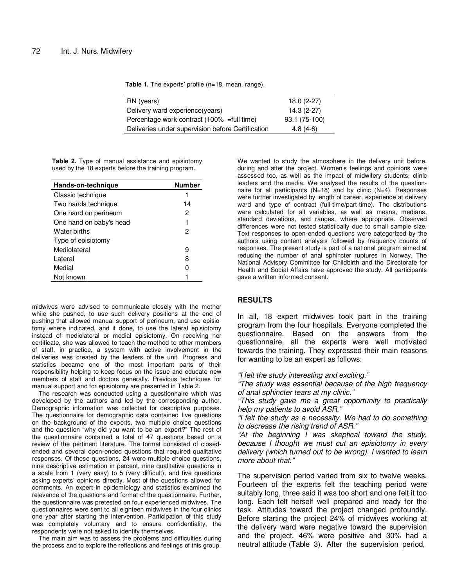Table 1. The experts' profile (n=18, mean, range).

| 93.1 (75-100) |
|---------------|
|               |
|               |

**Table 2.** Type of manual assistance and episiotomy used by the 18 experts before the training program.

| Hands-on-technique      | Number |
|-------------------------|--------|
| Classic technique       |        |
| Two hands technique     | 14     |
| One hand on perineum    | 2      |
| One hand on baby's head | 1      |
| Water births            | 2      |
| Type of episiotomy      |        |
| Mediolateral            | 9      |
| I ateral                | 8      |
| Medial                  |        |
| Not known               |        |

midwives were advised to communicate closely with the mother while she pushed, to use such delivery positions at the end of pushing that allowed manual support of perineum, and use episiotomy where indicated, and if done, to use the lateral episiotomy instead of mediolateral or medial episiotomy. On receiving her certificate, she was allowed to teach the method to other members of staff, in practice, a system with active involvement in the deliveries was created by the leaders of the unit. Progress and statistics became one of the most important parts of their responsibility helping to keep focus on the issue and educate new members of staff and doctors generally. Previous techniques for manual support and for episiotomy are presented in Table 2.

The research was conducted using a questionnaire which was developed by the authors and led by the corresponding author. Demographic information was collected for descriptive purposes. The questionnaire for demographic data contained five questions on the background of the experts, two multiple choice questions and the question "why did you want to be an expert?" The rest of the questionnaire contained a total of 47 questions based on a review of the pertinent literature. The format consisted of closedended and several open-ended questions that required qualitative responses. Of these questions, 24 were multiple choice questions, nine descriptive estimation in percent, nine qualitative questions in a scale from 1 (very easy) to 5 (very difficult), and five questions asking experts' opinions directly. Most of the questions allowed for comments. An expert in epidemiology and statistics examined the relevance of the questions and format of the questionnaire. Further, the questionnaire was pretested on four experienced midwives. The questionnaires were sent to all eighteen midwives in the four clinics one year after starting the intervention. Participation of this study was completely voluntary and to ensure confidentiality, the respondents were not asked to identify themselves.

The main aim was to assess the problems and difficulties during the process and to explore the reflections and feelings of this group.

We wanted to study the atmosphere in the delivery unit before, during and after the project. Women's feelings and opinions were assessed too, as well as the impact of midwifery students, clinic leaders and the media. We analysed the results of the questionnaire for all participants  $(N=18)$  and by clinic  $(N=4)$ . Responses were further investigated by length of career, experience at delivery ward and type of contract (full-time/part-time). The distributions were calculated for all variables, as well as means, medians, standard deviations, and ranges, where appropriate. Observed differences were not tested statistically due to small sample size. Text responses to open-ended questions were categorized by the authors using content analysis followed by frequency counts of responses. The present study is part of a national program aimed at reducing the number of anal sphincter ruptures in Norway. The National Advisory Committee for Childbirth and the Directorate for Health and Social Affairs have approved the study. All participants gave a written informed consent.

#### **RESULTS**

In all, 18 expert midwives took part in the training program from the four hospitals. Everyone completed the questionnaire. Based on the answers from the questionnaire, all the experts were well motivated towards the training. They expressed their main reasons for wanting to be an expert as follows:

*"I felt the study interesting and exciting."* 

*"The study was essential because of the high frequency of anal sphincter tears at my clinic."* 

*"This study gave me a great opportunity to practically help my patients to avoid ASR."* 

*"I felt the study as a necessity. We had to do something to decrease the rising trend of ASR."* 

*"At the beginning I was skeptical toward the study, because I thought we must cut an episiotomy in every delivery (which turned out to be wrong). I wanted to learn more about that."* 

The supervision period varied from six to twelve weeks. Fourteen of the experts felt the teaching period were suitably long, three said it was too short and one felt it too long. Each felt herself well prepared and ready for the task. Attitudes toward the project changed profoundly. Before starting the project 24% of midwives working at the delivery ward were negative toward the supervision and the project. 46% were positive and 30% had a neutral attitude (Table 3). After the supervision period,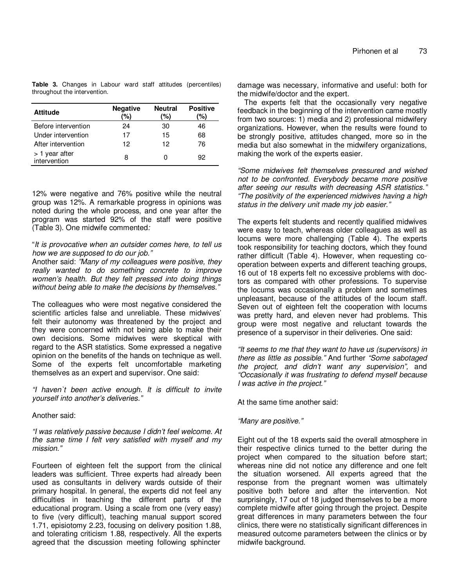**Table 3.** Changes in Labour ward staff attitudes (percentiles) throughout the intervention.

| <b>Attitude</b>                | <b>Negative</b><br>'%) | <b>Neutral</b><br>'%) | <b>Positive</b><br>'%) |
|--------------------------------|------------------------|-----------------------|------------------------|
| Before intervention            | 24                     | 30                    | 46                     |
| Under intervention             | 17                     | 15                    | 68                     |
| After intervention             | 12                     | 12                    | 76                     |
| > 1 year after<br>intervention | 8                      |                       | 92                     |

12% were negative and 76% positive while the neutral group was 12%. A remarkable progress in opinions was noted during the whole process, and one year after the program was started 92% of the staff were positive (Table 3). One midwife commented*:* 

#### "*It is provocative when an outsider comes here, to tell us how we are supposed to do our job."*

Another said: *"Many of my colleagues were positive, they really wanted to do something concrete to improve women's health. But they felt pressed into doing things without being able to make the decisions by themselves."*

The colleagues who were most negative considered the scientific articles false and unreliable. These midwives' felt their autonomy was threatened by the project and they were concerned with not being able to make their own decisions. Some midwives were skeptical with regard to the ASR statistics. Some expressed a negative opinion on the benefits of the hands on technique as well. Some of the experts felt uncomfortable marketing themselves as an expert and supervisor. One said:

*"I haven`t been active enough. It is difficult to invite yourself into another's deliveries."*

# Another said:

*"I was relatively passive because I didn't feel welcome. At the same time I felt very satisfied with myself and my mission."* 

Fourteen of eighteen felt the support from the clinical leaders was sufficient. Three experts had already been used as consultants in delivery wards outside of their primary hospital. In general, the experts did not feel any difficulties in teaching the different parts of the educational program. Using a scale from one (very easy) to five (very difficult), teaching manual support scored 1.71, episiotomy 2.23, focusing on delivery position 1.88, and tolerating criticism 1.88, respectively. All the experts agreed that the discussion meeting following sphincter

damage was necessary, informative and useful: both for the midwife/doctor and the expert.

The experts felt that the occasionally very negative feedback in the beginning of the intervention came mostly from two sources: 1) media and 2) professional midwifery organizations. However, when the results were found to be strongly positive, attitudes changed, more so in the media but also somewhat in the midwifery organizations, making the work of the experts easier.

*"Some midwives felt themselves pressured and wished not to be confronted. Everybody became more positive after seeing our results with decreasing ASR statistics." "The positivity of the experienced midwives having a high status in the delivery unit made my job easier."* 

The experts felt students and recently qualified midwives were easy to teach, whereas older colleagues as well as locums were more challenging (Table 4). The experts took responsibility for teaching doctors, which they found rather difficult (Table 4). However, when requesting cooperation between experts and different teaching groups, 16 out of 18 experts felt no excessive problems with doctors as compared with other professions. To supervise the locums was occasionally a problem and sometimes unpleasant, because of the attitudes of the locum staff. Seven out of eighteen felt the cooperation with locums was pretty hard, and eleven never had problems. This group were most negative and reluctant towards the presence of a supervisor in their deliveries. One said:

*"It seems to me that they want to have us (supervisors) in there as little as possible."* And further *"Some sabotaged the project, and didn't want any supervision",* and *"Occasionally it was frustrating to defend myself because I was active in the project."* 

At the same time another said:

# *"Many are positive."*

Eight out of the 18 experts said the overall atmosphere in their respective clinics turned to the better during the project when compared to the situation before start; whereas nine did not notice any difference and one felt the situation worsened. All experts agreed that the response from the pregnant women was ultimately positive both before and after the intervention. Not surprisingly, 17 out of 18 judged themselves to be a more complete midwife after going through the project. Despite great differences in many parameters between the four clinics, there were no statistically significant differences in measured outcome parameters between the clinics or by midwife background.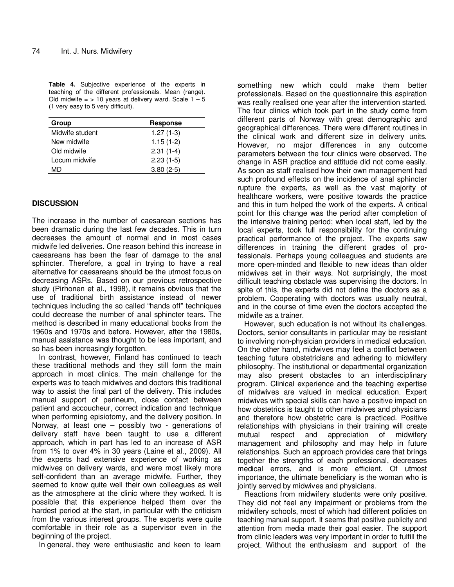**Table 4.** Subjective experience of the experts in teaching of the different professionals. Mean (range). Old midwife  $=$  > 10 years at delivery ward. Scale  $1 - 5$ (1 very easy to 5 very difficult).

| Group           | <b>Response</b> |
|-----------------|-----------------|
| Midwife student | $1.27(1-3)$     |
| New midwife     | $1.15(1-2)$     |
| Old midwife     | $2.31(1-4)$     |
| Locum midwife   | $2.23(1-5)$     |
| MD              | $3.80(2-5)$     |

# **DISCUSSION**

The increase in the number of caesarean sections has been dramatic during the last few decades. This in turn decreases the amount of normal and in most cases midwife led deliveries. One reason behind this increase in caesareans has been the fear of damage to the anal sphincter. Therefore, a goal in trying to have a real alternative for caesareans should be the utmost focus on decreasing ASRs. Based on our previous retrospective study (Pirhonen et al., 1998), it remains obvious that the use of traditional birth assistance instead of newer techniques including the so called "hands off" techniques could decrease the number of anal sphincter tears. The method is described in many educational books from the 1960s and 1970s and before. However, after the 1980s, manual assistance was thought to be less important, and so has been increasingly forgotten.

In contrast, however, Finland has continued to teach these traditional methods and they still form the main approach in most clinics. The main challenge for the experts was to teach midwives and doctors this traditional way to assist the final part of the delivery. This includes manual support of perineum, close contact between patient and accoucheur, correct indication and technique when performing episiotomy, and the delivery position. In Norway, at least one – possibly two - generations of delivery staff have been taught to use a different approach, which in part has led to an increase of ASR from 1% to over 4% in 30 years (Laine et al., 2009). All the experts had extensive experience of working as midwives on delivery wards, and were most likely more self-confident than an average midwife. Further, they seemed to know quite well their own colleagues as well as the atmosphere at the clinic where they worked. It is possible that this experience helped them over the hardest period at the start, in particular with the criticism from the various interest groups. The experts were quite comfortable in their role as a supervisor even in the beginning of the project.

In general, they were enthusiastic and keen to learn

something new which could make them better professionals. Based on the questionnaire this aspiration was really realised one year after the intervention started. The four clinics which took part in the study come from different parts of Norway with great demographic and geographical differences. There were different routines in the clinical work and different size in delivery units. However, no major differences in any outcome parameters between the four clinics were observed. The change in ASR practice and attitude did not come easily*.*  As soon as staff realised how their own management had such profound effects on the incidence of anal sphincter rupture the experts, as well as the vast majority of healthcare workers, were positive towards the practice and this in turn helped the work of the experts. A critical point for this change was the period after completion of the intensive training period; when local staff, led by the local experts, took full responsibility for the continuing practical performance of the project. The experts saw differences in training the different grades of professionals. Perhaps young colleagues and students are more open-minded and flexible to new ideas than older midwives set in their ways. Not surprisingly, the most difficult teaching obstacle was supervising the doctors. In spite of this, the experts did not define the doctors as a problem. Cooperating with doctors was usually neutral, and in the course of time even the doctors accepted the midwife as a trainer.

However, such education is not without its challenges. Doctors, senior consultants in particular may be resistant to involving non-physician providers in medical education. On the other hand, midwives may feel a conflict between teaching future obstetricians and adhering to midwifery philosophy. The institutional or departmental organization may also present obstacles to an interdisciplinary program. Clinical experience and the teaching expertise of midwives are valued in medical education. Expert midwives with special skills can have a positive impact on how obstetrics is taught to other midwives and physicians and therefore how obstetric care is practiced. Positive relationships with physicians in their training will create mutual respect and appreciation of midwifery management and philosophy and may help in future relationships. Such an approach provides care that brings together the strengths of each professional, decreases medical errors, and is more efficient. Of utmost importance, the ultimate beneficiary is the woman who is jointly served by midwives and physicians.

Reactions from midwifery students were only positive. They did not feel any impairment or problems from the midwifery schools, most of which had different policies on teaching manual support. It seems that positive publicity and attention from media made their goal easier. The support from clinic leaders was very important in order to fulfill the project. Without the enthusiasm and support of the